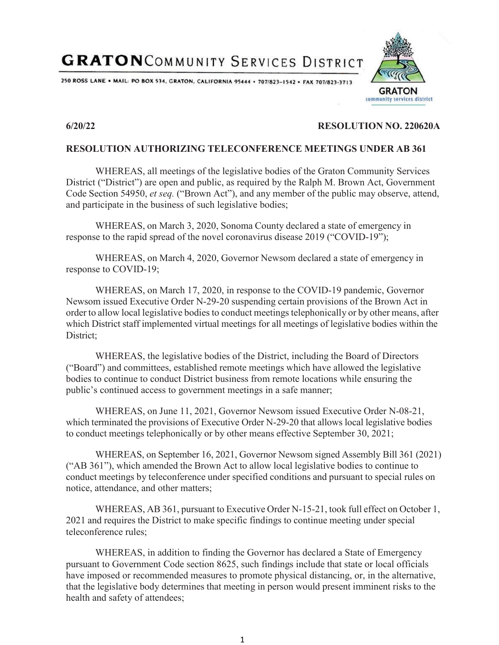250 ROSS LANE . MAIL: PO BOX 534, GRATON, CALIFORNIA 95444 . 707/823-1542 . FAX 707/823-3713



### **6/20/22 RESOLUTION NO. 220620A**

#### **RESOLUTION AUTHORIZING TELECONFERENCE MEETINGS UNDER AB 361**

WHEREAS, all meetings of the legislative bodies of the Graton Community Services District ("District") are open and public, as required by the Ralph M. Brown Act, Government Code Section 54950, *et seq.* ("Brown Act"), and any member of the public may observe, attend, and participate in the business of such legislative bodies;

WHEREAS, on March 3, 2020, Sonoma County declared a state of emergency in response to the rapid spread of the novel coronavirus disease 2019 ("COVID-19");

WHEREAS, on March 4, 2020, Governor Newsom declared a state of emergency in response to COVID-19;

WHEREAS, on March 17, 2020, in response to the COVID-19 pandemic, Governor Newsom issued Executive Order N-29-20 suspending certain provisions of the Brown Act in order to allow local legislative bodies to conduct meetings telephonically or by other means, after which District staff implemented virtual meetings for all meetings of legislative bodies within the District:

WHEREAS, the legislative bodies of the District, including the Board of Directors ("Board") and committees, established remote meetings which have allowed the legislative bodies to continue to conduct District business from remote locations while ensuring the public's continued access to government meetings in a safe manner;

WHEREAS, on June 11, 2021, Governor Newsom issued Executive Order N-08-21, which terminated the provisions of Executive Order N-29-20 that allows local legislative bodies to conduct meetings telephonically or by other means effective September 30, 2021;

WHEREAS, on September 16, 2021, Governor Newsom signed Assembly Bill 361 (2021) ("AB 361"), which amended the Brown Act to allow local legislative bodies to continue to conduct meetings by teleconference under specified conditions and pursuant to special rules on notice, attendance, and other matters;

WHEREAS, AB 361, pursuant to Executive Order N-15-21, took full effect on October 1, 2021 and requires the District to make specific findings to continue meeting under special teleconference rules;

WHEREAS, in addition to finding the Governor has declared a State of Emergency pursuant to Government Code section 8625, such findings include that state or local officials have imposed or recommended measures to promote physical distancing, or, in the alternative, that the legislative body determines that meeting in person would present imminent risks to the health and safety of attendees;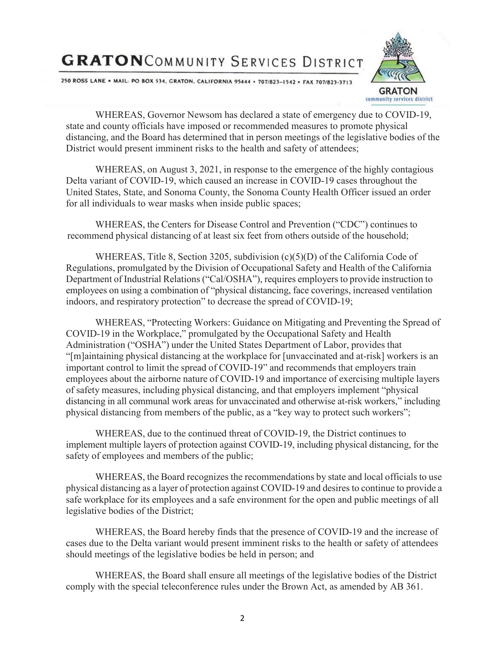250 ROSS LANE . MAIL: PO BOX 534, GRATON, CALIFORNIA 95444 . 707/823-1542 . FAX 707/823-3713



WHEREAS, Governor Newsom has declared a state of emergency due to COVID-19, state and county officials have imposed or recommended measures to promote physical distancing, and the Board has determined that in person meetings of the legislative bodies of the District would present imminent risks to the health and safety of attendees;

WHEREAS, on August 3, 2021, in response to the emergence of the highly contagious Delta variant of COVID-19, which caused an increase in COVID-19 cases throughout the United States, State, and Sonoma County, the Sonoma County Health Officer issued an order for all individuals to wear masks when inside public spaces;

WHEREAS, the Centers for Disease Control and Prevention ("CDC") continues to recommend physical distancing of at least six feet from others outside of the household;

WHEREAS, Title 8, Section 3205, subdivision  $(c)(5)(D)$  of the California Code of Regulations, promulgated by the Division of Occupational Safety and Health of the California Department of Industrial Relations ("Cal/OSHA"), requires employers to provide instruction to employees on using a combination of "physical distancing, face coverings, increased ventilation indoors, and respiratory protection" to decrease the spread of COVID-19;

WHEREAS, "Protecting Workers: Guidance on Mitigating and Preventing the Spread of COVID-19 in the Workplace," promulgated by the Occupational Safety and Health Administration ("OSHA") under the United States Department of Labor, provides that "[m]aintaining physical distancing at the workplace for [unvaccinated and at-risk] workers is an important control to limit the spread of COVID-19" and recommends that employers train employees about the airborne nature of COVID-19 and importance of exercising multiple layers of safety measures, including physical distancing, and that employers implement "physical distancing in all communal work areas for unvaccinated and otherwise at-risk workers," including physical distancing from members of the public, as a "key way to protect such workers";

WHEREAS, due to the continued threat of COVID-19, the District continues to implement multiple layers of protection against COVID-19, including physical distancing, for the safety of employees and members of the public;

WHEREAS, the Board recognizes the recommendations by state and local officials to use physical distancing as a layer of protection against COVID-19 and desires to continue to provide a safe workplace for its employees and a safe environment for the open and public meetings of all legislative bodies of the District;

WHEREAS, the Board hereby finds that the presence of COVID-19 and the increase of cases due to the Delta variant would present imminent risks to the health or safety of attendees should meetings of the legislative bodies be held in person; and

WHEREAS, the Board shall ensure all meetings of the legislative bodies of the District comply with the special teleconference rules under the Brown Act, as amended by AB 361.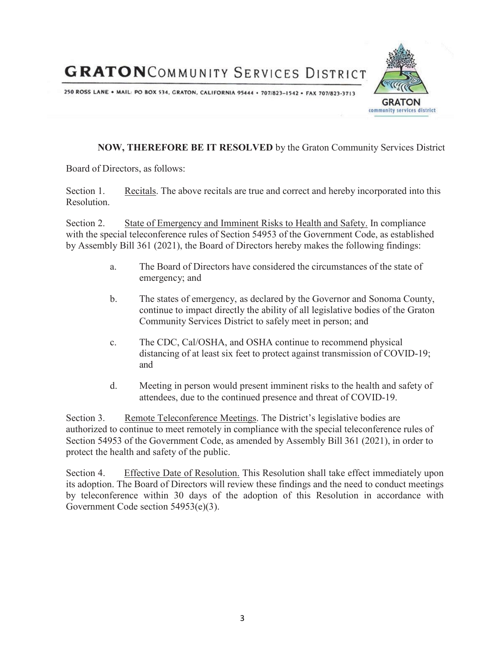250 ROSS LANE . MAIL: PO BOX 534, GRATON, CALIFORNIA 95444 . 707/823-1542 . FAX 707/823-3713



### **NOW, THEREFORE BE IT RESOLVED** by the Graton Community Services District

Board of Directors, as follows:

Section 1. Recitals. The above recitals are true and correct and hereby incorporated into this Resolution.

Section 2. State of Emergency and Imminent Risks to Health and Safety. In compliance with the special teleconference rules of Section 54953 of the Government Code, as established by Assembly Bill 361 (2021), the Board of Directors hereby makes the following findings:

- a. The Board of Directors have considered the circumstances of the state of emergency; and
- b. The states of emergency, as declared by the Governor and Sonoma County, continue to impact directly the ability of all legislative bodies of the Graton Community Services District to safely meet in person; and
- c. The CDC, Cal/OSHA, and OSHA continue to recommend physical distancing of at least six feet to protect against transmission of COVID-19; and
- d. Meeting in person would present imminent risks to the health and safety of attendees, due to the continued presence and threat of COVID-19.

Section 3. Remote Teleconference Meetings. The District's legislative bodies are authorized to continue to meet remotely in compliance with the special teleconference rules of Section 54953 of the Government Code, as amended by Assembly Bill 361 (2021), in order to protect the health and safety of the public.

Section 4. Effective Date of Resolution. This Resolution shall take effect immediately upon its adoption. The Board of Directors will review these findings and the need to conduct meetings by teleconference within 30 days of the adoption of this Resolution in accordance with Government Code section 54953(e)(3).